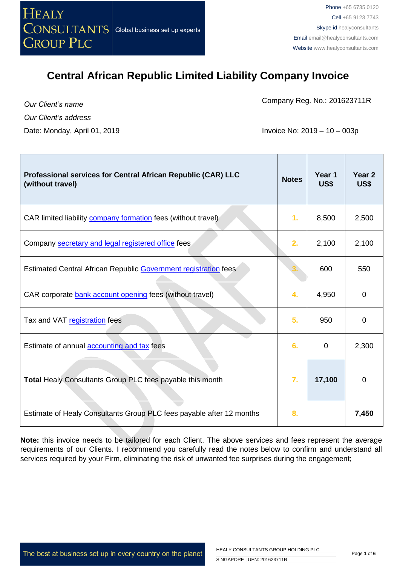

*Our Client's name Our Client's address* Date: Monday, April 01, 2019 **Invoice No: 2019 – 10 – 003p** 

Company Reg. No.: 201623711R

| Professional services for Central African Republic (CAR) LLC<br>(without travel) | <b>Notes</b> | Year 1<br>US\$ | Year <sub>2</sub><br>US\$ |
|----------------------------------------------------------------------------------|--------------|----------------|---------------------------|
| CAR limited liability <b>company formation</b> fees (without travel)             | 1.           | 8,500          | 2,500                     |
| Company secretary and legal registered office fees                               | 2.           | 2,100          | 2,100                     |
| Estimated Central African Republic Government registration fees                  |              | 600            | 550                       |
| CAR corporate bank account opening fees (without travel)                         | 4.           | 4,950          | $\mathbf 0$               |
| Tax and VAT registration fees                                                    | 5.           | 950            | 0                         |
| Estimate of annual accounting and tax fees                                       | 6.           | $\mathbf 0$    | 2,300                     |
| <b>Total Healy Consultants Group PLC fees payable this month</b>                 | 7.           | 17,100         | $\mathbf 0$               |
| Estimate of Healy Consultants Group PLC fees payable after 12 months             | 8.           |                | 7,450                     |

**Note:** this invoice needs to be tailored for each Client. The above services and fees represent the average requirements of our Clients. I recommend you carefully read the notes below to confirm and understand all services required by your Firm, eliminating the risk of unwanted fee surprises during the engagement;

The best at business set up in every country on the planet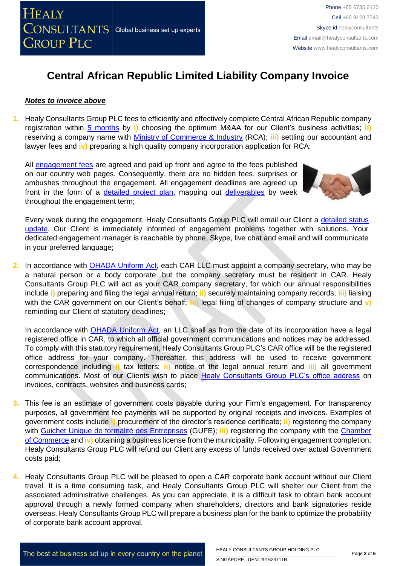### *Notes to invoice above*

**1.** Healy Consultants Group PLC fees to efficiently and effectively complete Central African Republic company registration within [5 months](http://www.healyconsultants.com/central-african-republic-company-registration/fees-timelines/) by **i)** choosing the optimum M&AA for our Client's business activities; **ii)** reserving a company name with [Ministry of Commerce & Industry](http://www.minco-rca.org/) (RCA); **iii)** settling our accountant and lawyer fees and **iv)** preparing a high quality company incorporation application for RCA;

All [engagement fees](http://www.healyconsultants.com/company-registration-fees/) are agreed and paid up front and agree to the fees published on our country web pages. Consequently, there are no hidden fees, surprises or ambushes throughout the engagement. All engagement deadlines are agreed up front in the form of a [detailed project plan,](http://www.healyconsultants.com/index-important-links/example-project-plan/) mapping out [deliverables](http://www.healyconsultants.com/deliverables-to-our-clients/) by week throughout the engagement term;



Every week during the engagement, Healy Consultants Group PLC will email our Client a [detailed status](http://www.healyconsultants.com/index-important-links/weekly-engagement-status-email/)  [update.](http://www.healyconsultants.com/index-important-links/weekly-engagement-status-email/) Our Client is immediately informed of engagement problems together with solutions. Your dedicated engagement manager is reachable by phone, Skype, live chat and email and will communicate in your preferred language;

**2.** In accordance with [OHADA Uniform Act,](http://www.juriscope.org/uploads/pdf/ohada/OHADA_en/societe-gb.pdf) each CAR LLC must appoint a company secretary, who may be a natural person or a body corporate, but the company secretary must be resident in CAR. Healy Consultants Group PLC will act as your CAR company secretary, for which our annual responsibilities include **i)** preparing and filing the legal annual return; **ii)** securely maintaining company records; **iii)** liaising with the CAR government on our Client's behalf; **iv)** legal filing of changes of company structure and **v)**  reminding our Client of statutory deadlines;

In accordance with [OHADA Uniform Act,](http://www.juriscope.org/uploads/pdf/ohada/OHADA_en/societe-gb.pdf) an LLC shall as from the date of its incorporation have a legal registered office in CAR, to which all official government communications and notices may be addressed. To comply with this statutory requirement, Healy Consultants Group PLC's CAR office will be the registered office address for your company. Thereafter, this address will be used to receive government correspondence including **i)** tax letters; **ii)** notice of the legal annual return and **iii)** all government communications. Most of our Clients wish to place [Healy Consultants Group PLC's office address](http://www.healyconsultants.com/corporate-outsourcing-services/company-secretary-and-legal-registered-office/) on invoices, contracts, websites and business cards;

- **3.** This fee is an estimate of government costs payable during your Firm's engagement. For transparency purposes, all government fee payments will be supported by original receipts and invoices. Examples of government costs include **i)** procurement of the director's residence certificate; **ii)** registering the company with [Guichet Unique de formalité des Entreprises](http://gufe-rca.org/) (GUFE); **iii)** registering the company with the [Chamber](http://www.minco-rca.org/)  [of Commerce](http://www.minco-rca.org/) and **iv)** obtaining a business license from the municipality. Following engagement completion, Healy Consultants Group PLC will refund our Client any excess of funds received over actual Government costs paid;
- **4.** Healy Consultants Group PLC will be pleased to open a CAR corporate bank account without our Client travel. It is a time consuming task, and Healy Consultants Group PLC will shelter our Client from the associated administrative challenges. As you can appreciate, it is a difficult task to obtain bank account approval through a newly formed company when shareholders, directors and bank signatories reside overseas. Healy Consultants Group PLC will prepare a business plan for the bank to optimize the probability of corporate bank account approval.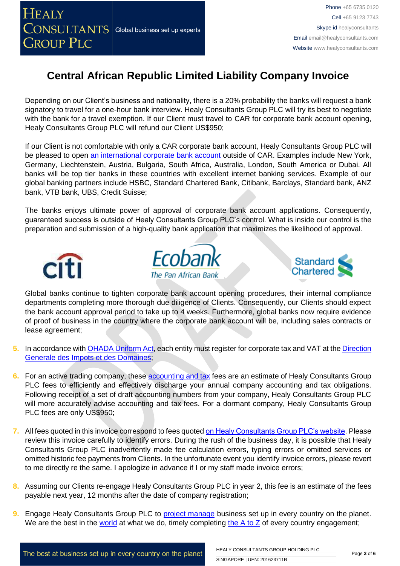

Depending on our Client's business and nationality, there is a 20% probability the banks will request a bank signatory to travel for a one-hour bank interview. Healy Consultants Group PLC will try its best to negotiate with the bank for a travel exemption. If our Client must travel to CAR for corporate bank account opening, Healy Consultants Group PLC will refund our Client US\$950;

If our Client is not comfortable with only a CAR corporate bank account, Healy Consultants Group PLC will be pleased to open [an international corporate bank account](http://www.healyconsultants.com/international-banking/) outside of CAR. Examples include New York, Germany, Liechtenstein, Austria, Bulgaria, South Africa, Australia, London, South America or Dubai. All banks will be top tier banks in these countries with excellent internet banking services. Example of our global banking partners include HSBC, Standard Chartered Bank, Citibank, Barclays, Standard bank, ANZ bank, VTB bank, UBS, Credit Suisse;

The banks enjoys ultimate power of approval of corporate bank account applications. Consequently, guaranteed success is outside of Healy Consultants Group PLC's control. What is inside our control is the preparation and submission of a high-quality bank application that maximizes the likelihood of approval.







Global banks continue to tighten corporate bank account opening procedures, their internal compliance departments completing more thorough due diligence of Clients. Consequently, our Clients should expect the bank account approval period to take up to 4 weeks. Furthermore, global banks now require evidence of proof of business in the country where the corporate bank account will be, including sales contracts or lease agreement;

- **5.** In accordance with [OHADA Uniform Act,](http://www.juriscope.org/uploads/pdf/ohada/OHADA_en/societe-gb.pdf) each entity must register for corporate tax and VAT at the Direction [Generale des Impots et des Domaines;](http://www.minco-rca.org/)
- **6.** For an active trading company, these [accounting and tax](http://www.healyconsultants.com/central-african-republic-company-registration/accounting-legal/) fees are an estimate of Healy Consultants Group PLC fees to efficiently and effectively discharge your annual company accounting and tax obligations. Following receipt of a set of draft accounting numbers from your company, Healy Consultants Group PLC will more accurately advise accounting and tax fees. For a dormant company, Healy Consultants Group PLC fees are only US\$950;
- **7.** All fees quoted in this invoice correspond to fees quoted [on Healy Consultants Group PLC's website.](http://www.healyconsultants.com/company-registration-fees/) Please review this invoice carefully to identify errors. During the rush of the business day, it is possible that Healy Consultants Group PLC inadvertently made fee calculation errors, typing errors or omitted services or omitted historic fee payments from Clients. In the unfortunate event you identify invoice errors, please revert to me directly re the same. I apologize in advance if I or my staff made invoice errors;
- **8.** Assuming our Clients re-engage Healy Consultants Group PLC in year 2, this fee is an estimate of the fees payable next year, 12 months after the date of company registration;
- **9.** Engage Healy Consultants Group PLC to [project manage](http://www.healyconsultants.com/project-manage-engagements/) business set up in every country on the planet. We are the best in the [world](http://www.healyconsultants.com/best-in-the-world/) at what we do, timely completing the  $A$  to  $Z$  of every country engagement;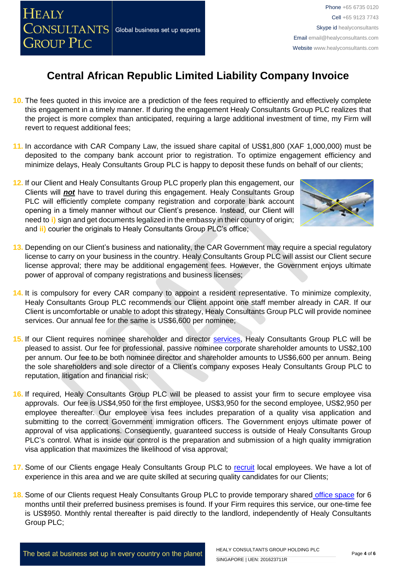- **10.** The fees quoted in this invoice are a prediction of the fees required to efficiently and effectively complete this engagement in a timely manner. If during the engagement Healy Consultants Group PLC realizes that the project is more complex than anticipated, requiring a large additional investment of time, my Firm will revert to request additional fees;
- **11.** In accordance with CAR Company Law, the issued share capital of US\$1,800 (XAF 1,000,000) must be deposited to the company bank account prior to registration. To optimize engagement efficiency and minimize delays, Healy Consultants Group PLC is happy to deposit these funds on behalf of our clients;
- **12.** If our Client and Healy Consultants Group PLC properly plan this engagement, our Clients will *not* have to travel during this engagement. Healy Consultants Group PLC will efficiently complete company registration and corporate bank account opening in a timely manner without our Client's presence. Instead, our Client will need to **i)** sign and get documents legalized in the embassy in their country of origin; and **ii)** courier the originals to Healy Consultants Group PLC's office;
- **13.** Depending on our Client's business and nationality, the CAR Government may require a special regulatory license to carry on your business in the country. Healy Consultants Group PLC will assist our Client secure license approval; there may be additional engagement fees. However, the Government enjoys ultimate power of approval of company registrations and business licenses;
- **14.** It is compulsory for every CAR company to appoint a resident representative. To minimize complexity, Healy Consultants Group PLC recommends our Client appoint one staff member already in CAR. If our Client is uncomfortable or unable to adopt this strategy, Healy Consultants Group PLC will provide nominee services. Our annual fee for the same is US\$6,600 per nominee;
- **15.** If our Client requires nominee shareholder and director [services,](http://www.healyconsultants.com/corporate-outsourcing-services/nominee-shareholders-directors/) Healy Consultants Group PLC will be pleased to assist. Our fee for professional, passive nominee corporate shareholder amounts to US\$2,100 per annum. Our fee to be both nominee director and shareholder amounts to US\$6,600 per annum. Being the sole shareholders and sole director of a Client's company exposes Healy Consultants Group PLC to reputation, litigation and financial risk;
- **16.** If required, Healy Consultants Group PLC will be pleased to assist your firm to secure employee visa approvals. Our fee is US\$4,950 for the first employee, US\$3,950 for the second employee, US\$2,950 per employee thereafter. Our employee visa fees includes preparation of a quality visa application and submitting to the correct Government immigration officers. The Government enjoys ultimate power of approval of visa applications. Consequently, guaranteed success is outside of Healy Consultants Group PLC's control. What is inside our control is the preparation and submission of a high quality immigration visa application that maximizes the likelihood of visa approval;
- **17.** Some of our Clients engage Healy Consultants Group PLC to [recruit](http://www.healyconsultants.com/corporate-outsourcing-services/how-we-help-our-clients-recruit-quality-employees/) local employees. We have a lot of experience in this area and we are quite skilled at securing quality candidates for our Clients;
- **18.** Some of our Clients request Healy Consultants Group PLC to provide temporary shared [office space](http://www.healyconsultants.com/virtual-office/) for 6 months until their preferred business premises is found. If your Firm requires this service, our one-time fee is US\$950. Monthly rental thereafter is paid directly to the landlord, independently of Healy Consultants Group PLC;

#### HEALY CONSULTANTS GROUP HOLDING PLC SINGAPORE | UEN: 201623711R

Phone +65 6735 0120 Cell +65 9123 7743 Skype id healyconsultants Email [email@healyconsultants.com](mailto:EMAIL@HEALYCONSULTANTS.COM) Website [www.healyconsultants.com](http://www.healyconsultants.com/)



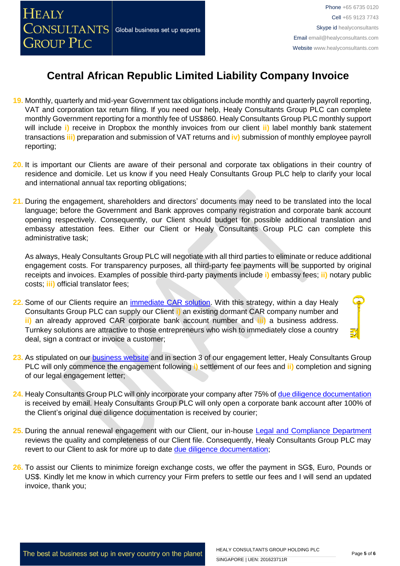- **19.** Monthly, quarterly and mid-year Government tax obligations include monthly and quarterly payroll reporting, VAT and corporation tax return filing. If you need our help, Healy Consultants Group PLC can complete monthly Government reporting for a monthly fee of US\$860. Healy Consultants Group PLC monthly support will include **i)** receive in Dropbox the monthly invoices from our client **ii)** label monthly bank statement transactions **iii)** preparation and submission of VAT returns and **iv)** submission of monthly employee payroll reporting;
- **20.** It is important our Clients are aware of their personal and corporate tax obligations in their country of residence and domicile. Let us know if you need Healy Consultants Group PLC help to clarify your local and international annual tax reporting obligations;
- **21.** During the engagement, shareholders and directors' documents may need to be translated into the local language; before the Government and Bank approves company registration and corporate bank account opening respectively. Consequently, our Client should budget for possible additional translation and embassy attestation fees. Either our Client or Healy Consultants Group PLC can complete this administrative task;

As always, Healy Consultants Group PLC will negotiate with all third parties to eliminate or reduce additional engagement costs. For transparency purposes, all third-party fee payments will be supported by original receipts and invoices. Examples of possible third-party payments include **i)** embassy fees; **ii)** notary public costs; **iii)** official translator fees;

- **22.** Some of our Clients require an [immediate CAR](http://www.healyconsultants.com/turnkey-solutions/) solution. With this strategy, within a day Healy Consultants Group PLC can supply our Client **i)** an existing dormant CAR company number and **ii)** an already approved CAR corporate bank account number and **iii)** a business address. Turnkey solutions are attractive to those entrepreneurs who wish to immediately close a country deal, sign a contract or invoice a customer;
- **23.** As stipulated on our [business website](http://www.healyconsultants.com/) and in section 3 of our engagement letter, Healy Consultants Group PLC will only commence the engagement following **i)** settlement of our fees and **ii)** completion and signing of our legal engagement letter;
- **24.** Healy Consultants Group PLC will only incorporate your company after 75% of [due diligence documentation](http://www.healyconsultants.com/due-diligence/) is received by email. Healy Consultants Group PLC will only open a corporate bank account after 100% of the Client's original due diligence documentation is received by courier;
- **25.** During the annual renewal engagement with our Client, our in-house [Legal and Compliance Department](http://www.healyconsultants.com/about-us/key-personnel/cai-xin-profile/) reviews the quality and completeness of our Client file. Consequently, Healy Consultants Group PLC may revert to our Client to ask for more up to date [due diligence documentation;](http://www.healyconsultants.com/due-diligence/)
- **26.** To assist our Clients to minimize foreign exchange costs, we offer the payment in SG\$, Euro, Pounds or US\$. Kindly let me know in which currency your Firm prefers to settle our fees and I will send an updated invoice, thank you;